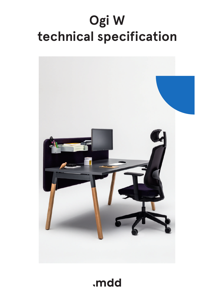# **Ogi W technical specification**



.mdd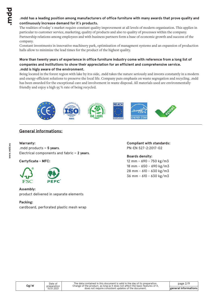## **.mdd has a leading position among manufacturers of office furniture with many awards that prove quality and continuously increase demand for it`s products.**

The realities of today`s market require constant quality improvement at all levels of modern organization. This applies in particular to customer service, marketing, quality of products and also to quality of processes within the company. Partnership relations among employees and with business partners form a base of economic growth and success of the company.

Constant investments in innovative machinery park, optimization of managment systems and an expansion of production halls allow to minimize the lead times for the product of the highest quality.

## **More than twenty years of experience in office furniture industry come with reference from a long list of companies and institutions to show their appreciation for an efficient and comprehensive service. .mdd is higly aware of the environment.**

Being located in the forest region with lake by it1s side, .mdd takes the nature seriously and invests constantly in a modern and energy-efficient solutions to preserve the local life. Company puts emphasis on waste segregation and recycling. .mdd has been awarded for the exceptional care and involvement in waste disposal. All materials used are environmentally friendly and enjoy a high 95 % rate of being recycled.



# **General informations:**

#### **Warranty :**

.mdd products **– 5 years**. Electrical components and fabric **– 2 years**.

**Certyficate - MFC:**



#### **Assembly:**

product delivered in separate elements

#### **Packing :**

cardboard, perforated plastic mesh wrap

**Compliant with standards:** PN-EN 527-2:2017-02

**Boards density:**

12 mm - 690 - 750 kg/m3 18 mm - 650 - 690 kg/m3 28 mm - 610 - 630 kg/m3 36 mm - 610 - 630 kg/m3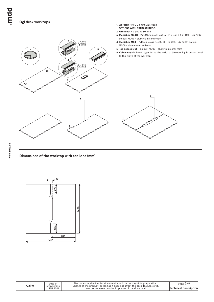bpun.

### **Ogi desk worktops**



**1. Worktop -** MFC 28 mm, ABS edge

#### **Dimensions of the worktop with scallops (mm)**



|  | Ogi W | Date of<br>preparation<br>15.01.2021 | The data contained in this document is valid in the day of its preparation.<br>Change of the product, as long as it does not affect the basic features of it,<br>does not require consistent updates of the document. | page $3/9$<br><b>Itechnical description</b> |
|--|-------|--------------------------------------|-----------------------------------------------------------------------------------------------------------------------------------------------------------------------------------------------------------------------|---------------------------------------------|
|--|-------|--------------------------------------|-----------------------------------------------------------------------------------------------------------------------------------------------------------------------------------------------------------------------|---------------------------------------------|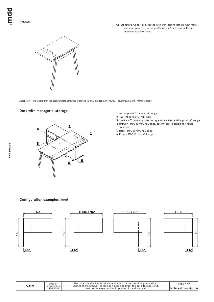Ogi W: natural wood - ash, coated with transparent varnish, with metal element, powder coated, profile 40 × 40 mm, spacer 10 mm between top and frame



Attention - the cable tray located underneath the worktop is only available in: M009 - aluminium semi-matte colour

#### **Desk with managerial storage**



- **1. Worktop** MFC 28 mm, ABS edge
- **2. Top** MFC 28 mm, ABS edge
- **3. Shelf** MFC 18 mm, protection against accidental falling-out, ABS edge **4. Drawer -** MFC 18 mm, ABS edge, patent lock - possible to change
- location **5. Base -** MFC 18 mm, ABS edge
- **6. Front** MFC 18 mm, ABS edge

#### **Configuration examples (mm)**









| Ogi W | Date of<br>preparation | The data contained in this document is valid in the day of its preparation.<br>Change of the product, as long as it does not affect the basic features of it. | page $4/9$                    |
|-------|------------------------|---------------------------------------------------------------------------------------------------------------------------------------------------------------|-------------------------------|
|       | 15.01.2021             | does not require consistent updates of the document.                                                                                                          | <b>Itechnical description</b> |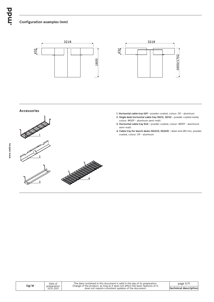## **Configuration examples (mm)**





#### **Accessories**



- **1. Horizontal cable tray S69** powder coated, colour: 09 aluminum
- **2. Single desk horizontal cable tray (SG12, SG16)** powder coated metal, colour: M009 - aluminum semi-matt
- **3. Horizontal cable tray E64** powder coated, colour: M009 aluminium semi-matt
- **4. Cable tray for bench desks (SG220, SG260) s**teel wire Ø4 mm, powder coated, colour: 09 - aluminum

**www.mdd.eu**

| Ogi W |  |  |
|-------|--|--|
|-------|--|--|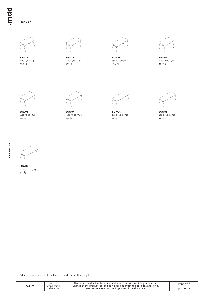bpur.

# **Desks \***



1200 / 700 / 740 **BOW22** 28.9 kg



**BOW24** 1400 / 700 / 740



**BOW26** 1600 / 700 / 740 32.3 kg 35.9 kg 34.8 kg



**BOW02** 1200 / 800 / 740<br>34.8 kg



1400 / 800 / 740 **BOW03** 35.3 kg



**BOW04** 1600 / 800 / 740

**BOW05** 1800 / 800 / 740 35.9 kg 39 kg 45.3kg



**BOW06** 2000 / 800 / 740



**www.mdd.eu**

2000 / 1000 / 740 **BOW07** 49.5 kg

| Jgi W | Date of                   | The data contained in this document is valid in the day of its preparation.<br>Change of the product, as long as it does not affect the basic features of it, | page $6/9$ |
|-------|---------------------------|---------------------------------------------------------------------------------------------------------------------------------------------------------------|------------|
|       | preparation<br>15.01.2021 | does not require consistent updates of the document.                                                                                                          | products   |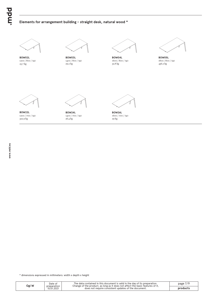## **Elements for arrangement building - straight desk, natural wood \***



1200 / 800 / 740 **BOW02L** 25.7 kg



1400 / 800 / 740<br>29.2 kg



**BOW04L** 1600 / 800 / 740 29.2 kg 436.2 kg 436.2 kg 436.2 kg 436.2 kg 436.2 kg 436.2 kg 436.2 kg 436.2 kg 436.2 kg 436.2 kg 436.2 kg 436



**BOW05L** 1800 / 800 / 740<br>436.2 kg



1200 / 700 / 740 **BOW22L** 322.9 kg



**BOW24L** 1400 / 700 / 740  $26.4 \text{ kg}$ 



**BOW26L** 1600 / 700 / 740

| Ogi W | Date of<br>preparation | The data contained in this document is valid in the day of its preparation.<br>Change of the product, as long as it does not affect the basic features of it. | page $7/$ |
|-------|------------------------|---------------------------------------------------------------------------------------------------------------------------------------------------------------|-----------|
|       | 15.01.2021             | does not require consistent updates of the document.                                                                                                          | products  |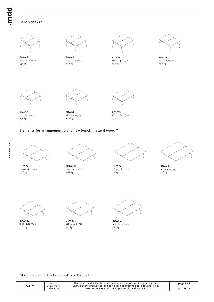bpur.

#### **Bench desks \***



1400 / 1610 / 740 **BOW33** 65.6 kg

**BOW34** 1600 / 1610 / 740 66.8 kg 73 kg



**BOW35** 1800 / 1610 / 740

#### **Elements for arrangement b uilding - bench, natural wood \***



**BOW32L** 1200 / 1610 / 740



**BOW33L** 1400 / 1610 / 740 49.8 kg 64 kg 64 kg 64 kg 64 kg 64 kg 64 kg 64 kg 65 kg 65 kg 65 kg 65 kg 65 kg 65 kg 65 kg 65 kg 65 kg 65 kg 6



**BOW34L** 1600 / 1610 / 740<br>64 kg



1800 / 1610 / 740 **BOW35L** 70.8 kg



**BOW42L** 1200 / 1410 / 740 44.2 kg 51.2 kg



**BOW44L** 1400 / 1410 / 740



**BOW46L** 1600 / 1410 / 740 56.4 kg

| Jgi W | Date of<br>preparation | The data contained in this document is valid in the day of its preparation.<br>Change of the product, as long as it does not affect the basic features of it, | page $8/9$ |
|-------|------------------------|---------------------------------------------------------------------------------------------------------------------------------------------------------------|------------|
|       | 15.01.2021             | does not require consistent updates of the document.                                                                                                          | products   |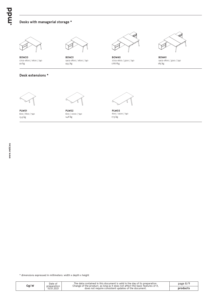## **Desks with managerial storage \***



1702-1600 / 1600 / 740 **BOW20** 92 kg

**Desk extensions \***



**BOW21** 1902-1800 / 1600 / 740



**BOW40** 1702-1600 / 3210 / 740<br>178.8 kg 93.5 kg 185 kg 178.8 kg 185 kg 185 kg 185 kg 185 kg 185 kg 185 kg 185 kg 185 kg 185 kg 186 kg 186 kg 186 kg 18



**BOW41** 1902-1800 / 3210 / 740



600 / 800 / 740 **PLW01** 13.3 kg



**PLW02** 600 / 1000 / 740  $14.8 \text{ kg}$ 



**PLW03** 600 / 1200 / 740

| Ogi W | Date of<br>preparation | The data contained in this document is valid in the day of its preparation.<br>Change of the product, as long as it does not affect the basic features of it. | page $8/9$ |
|-------|------------------------|---------------------------------------------------------------------------------------------------------------------------------------------------------------|------------|
|       | 15.01.2021             | does not require consistent updates of the document.                                                                                                          | products   |